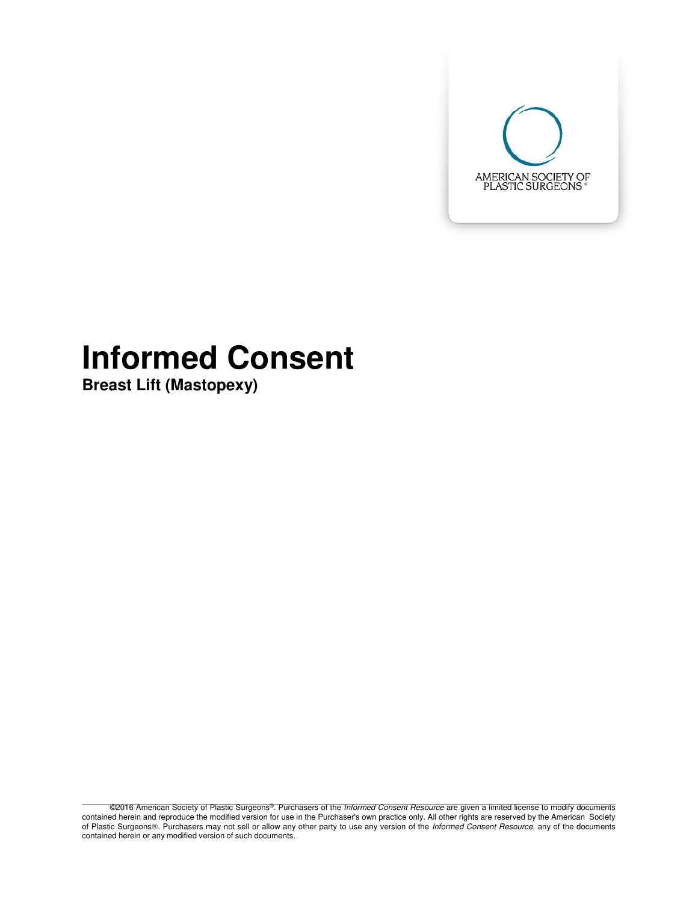

# **Informed Consent**

**Breast Lift (Mastopexy)** 

©2016 American Society of Plastic Surgeons®. Purchasers of the Informed Consent Resource are given a limited license to modify documents contained herein and reproduce the modified version for use in the Purchaser's own practice only. All other rights are reserved by the American Society of Plastic Surgeons®. Purchasers may not sell or allow any other party to use any version of the Informed Consent Resource, any of the documents contained herein or any modified version of such documents.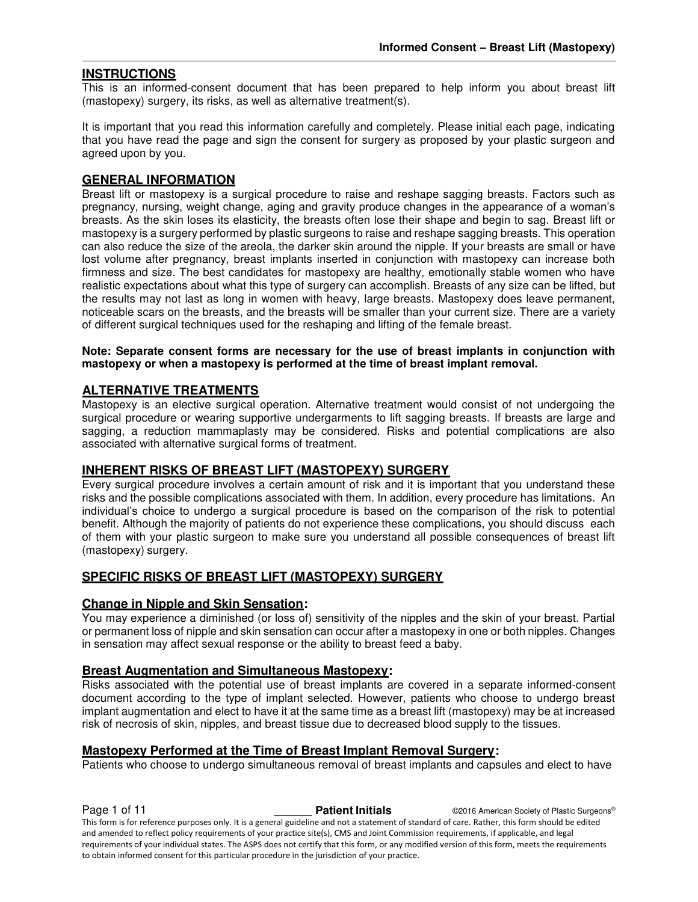#### **INSTRUCTIONS**

This is an informed-consent document that has been prepared to help inform you about breast lift (mastopexy) surgery, its risks, as well as alternative treatment(s).

It is important that you read this information carefully and completely. Please initial each page, indicating that you have read the page and sign the consent for surgery as proposed by your plastic surgeon and agreed upon by you.

#### **GENERAL INFORMATION**

Breast lift or mastopexy is a surgical procedure to raise and reshape sagging breasts. Factors such as pregnancy, nursing, weight change, aging and gravity produce changes in the appearance of a woman's breasts. As the skin loses its elasticity, the breasts often lose their shape and begin to sag. Breast lift or mastopexy is a surgery performed by plastic surgeons to raise and reshape sagging breasts. This operation can also reduce the size of the areola, the darker skin around the nipple. If your breasts are small or have lost volume after pregnancy, breast implants inserted in conjunction with mastopexy can increase both firmness and size. The best candidates for mastopexy are healthy, emotionally stable women who have realistic expectations about what this type of surgery can accomplish. Breasts of any size can be lifted, but the results may not last as long in women with heavy, large breasts. Mastopexy does leave permanent, noticeable scars on the breasts, and the breasts will be smaller than your current size. There are a variety of different surgical techniques used for the reshaping and lifting of the female breast.

#### **Note: Separate consent forms are necessary for the use of breast implants in conjunction with mastopexy or when a mastopexy is performed at the time of breast implant removal.**

#### **ALTERNATIVE TREATMENTS**

Mastopexy is an elective surgical operation. Alternative treatment would consist of not undergoing the surgical procedure or wearing supportive undergarments to lift sagging breasts. If breasts are large and sagging, a reduction mammaplasty may be considered. Risks and potential complications are also associated with alternative surgical forms of treatment.

#### **INHERENT RISKS OF BREAST LIFT (MASTOPEXY) SURGERY**

Every surgical procedure involves a certain amount of risk and it is important that you understand these risks and the possible complications associated with them. In addition, every procedure has limitations. An individual's choice to undergo a surgical procedure is based on the comparison of the risk to potential benefit. Although the majority of patients do not experience these complications, you should discuss each of them with your plastic surgeon to make sure you understand all possible consequences of breast lift (mastopexy) surgery.

#### **SPECIFIC RISKS OF BREAST LIFT (MASTOPEXY) SURGERY**

#### **Change in Nipple and Skin Sensation:**

You may experience a diminished (or loss of) sensitivity of the nipples and the skin of your breast. Partial or permanent loss of nipple and skin sensation can occur after a mastopexy in one or both nipples. Changes in sensation may affect sexual response or the ability to breast feed a baby.

#### **Breast Augmentation and Simultaneous Mastopexy:**

Risks associated with the potential use of breast implants are covered in a separate informed-consent document according to the type of implant selected. However, patients who choose to undergo breast implant augmentation and elect to have it at the same time as a breast lift (mastopexy) may be at increased risk of necrosis of skin, nipples, and breast tissue due to decreased blood supply to the tissues.

#### **Mastopexy Performed at the Time of Breast Implant Removal Surgery:**

Patients who choose to undergo simultaneous removal of breast implants and capsules and elect to have

**Page 1 of 11 Patient Initials CALC CONFIDENT CONSUMINGLY Patient Initials CALC CONFIDENT Properties Patient Initials CONFIDENT CONFIDENT** This form is for reference purposes only. It is a general guideline and not a statement of standard of care. Rather, this form should be edited and amended to reflect policy requirements of your practice site(s), CMS and Joint Commission requirements, if applicable, and legal requirements of your individual states. The ASPS does not certify that this form, or any modified version of this form, meets the requirements to obtain informed consent for this particular procedure in the jurisdiction of your practice.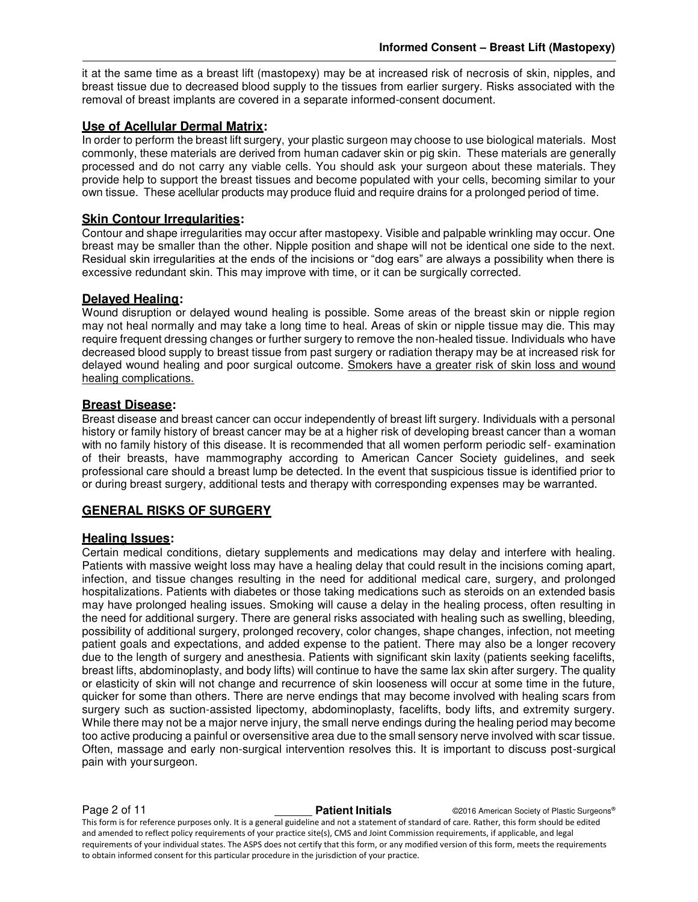it at the same time as a breast lift (mastopexy) may be at increased risk of necrosis of skin, nipples, and breast tissue due to decreased blood supply to the tissues from earlier surgery. Risks associated with the removal of breast implants are covered in a separate informed-consent document.

#### **Use of Acellular Dermal Matrix:**

In order to perform the breast lift surgery, your plastic surgeon may choose to use biological materials. Most commonly, these materials are derived from human cadaver skin or pig skin. These materials are generally processed and do not carry any viable cells. You should ask your surgeon about these materials. They provide help to support the breast tissues and become populated with your cells, becoming similar to your own tissue. These acellular products may produce fluid and require drains for a prolonged period of time.

#### **Skin Contour Irregularities:**

Contour and shape irregularities may occur after mastopexy. Visible and palpable wrinkling may occur. One breast may be smaller than the other. Nipple position and shape will not be identical one side to the next. Residual skin irregularities at the ends of the incisions or "dog ears" are always a possibility when there is excessive redundant skin. This may improve with time, or it can be surgically corrected.

#### **Delayed Healing:**

Wound disruption or delayed wound healing is possible. Some areas of the breast skin or nipple region may not heal normally and may take a long time to heal. Areas of skin or nipple tissue may die. This may require frequent dressing changes or further surgery to remove the non-healed tissue. Individuals who have decreased blood supply to breast tissue from past surgery or radiation therapy may be at increased risk for delayed wound healing and poor surgical outcome. Smokers have a greater risk of skin loss and wound healing complications.

#### **Breast Disease:**

Breast disease and breast cancer can occur independently of breast lift surgery. Individuals with a personal history or family history of breast cancer may be at a higher risk of developing breast cancer than a woman with no family history of this disease. It is recommended that all women perform periodic self- examination of their breasts, have mammography according to American Cancer Society guidelines, and seek professional care should a breast lump be detected. In the event that suspicious tissue is identified prior to or during breast surgery, additional tests and therapy with corresponding expenses may be warranted.

#### **GENERAL RISKS OF SURGERY**

#### **Healing Issues:**

Certain medical conditions, dietary supplements and medications may delay and interfere with healing. Patients with massive weight loss may have a healing delay that could result in the incisions coming apart, infection, and tissue changes resulting in the need for additional medical care, surgery, and prolonged hospitalizations. Patients with diabetes or those taking medications such as steroids on an extended basis may have prolonged healing issues. Smoking will cause a delay in the healing process, often resulting in the need for additional surgery. There are general risks associated with healing such as swelling, bleeding, possibility of additional surgery, prolonged recovery, color changes, shape changes, infection, not meeting patient goals and expectations, and added expense to the patient. There may also be a longer recovery due to the length of surgery and anesthesia. Patients with significant skin laxity (patients seeking facelifts, breast lifts, abdominoplasty, and body lifts) will continue to have the same lax skin after surgery. The quality or elasticity of skin will not change and recurrence of skin looseness will occur at some time in the future, quicker for some than others. There are nerve endings that may become involved with healing scars from surgery such as suction-assisted lipectomy, abdominoplasty, facelifts, body lifts, and extremity surgery. While there may not be a major nerve injury, the small nerve endings during the healing period may become too active producing a painful or oversensitive area due to the small sensory nerve involved with scar tissue. Often, massage and early non-surgical intervention resolves this. It is important to discuss post-surgical pain with your surgeon.

**Page 2 of 11 Patient Initials COVID-2016** American Society of Plastic Surgeons® This form is for reference purposes only. It is a general guideline and not a statement of standard of care. Rather, this form should be edited and amended to reflect policy requirements of your practice site(s), CMS and Joint Commission requirements, if applicable, and legal requirements of your individual states. The ASPS does not certify that this form, or any modified version of this form, meets the requirements to obtain informed consent for this particular procedure in the jurisdiction of your practice.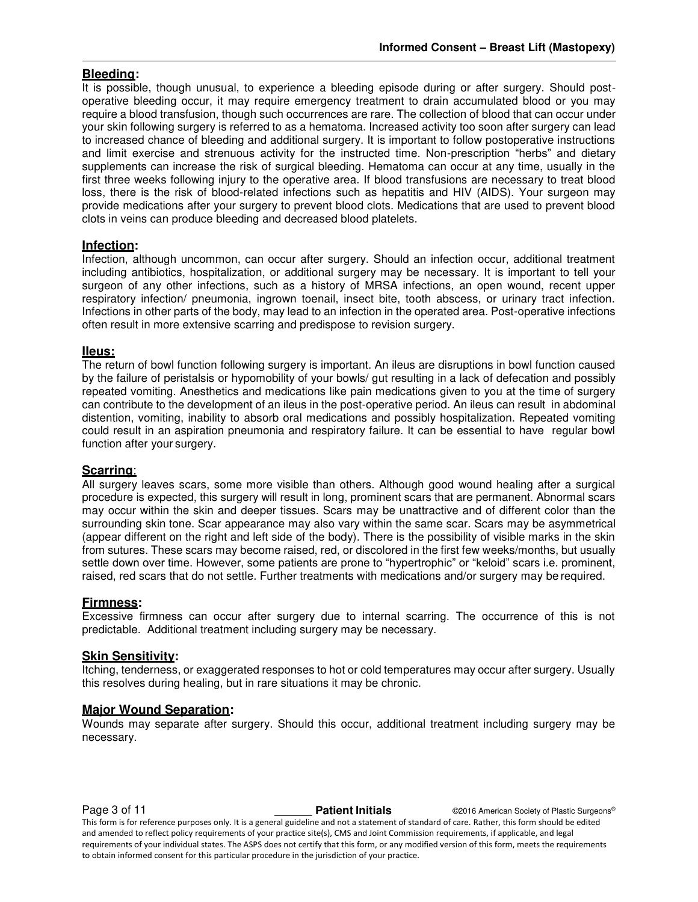#### **Bleeding:**

It is possible, though unusual, to experience a bleeding episode during or after surgery. Should postoperative bleeding occur, it may require emergency treatment to drain accumulated blood or you may require a blood transfusion, though such occurrences are rare. The collection of blood that can occur under your skin following surgery is referred to as a hematoma. Increased activity too soon after surgery can lead to increased chance of bleeding and additional surgery. It is important to follow postoperative instructions and limit exercise and strenuous activity for the instructed time. Non-prescription "herbs" and dietary supplements can increase the risk of surgical bleeding. Hematoma can occur at any time, usually in the first three weeks following injury to the operative area. If blood transfusions are necessary to treat blood loss, there is the risk of blood-related infections such as hepatitis and HIV (AIDS). Your surgeon may provide medications after your surgery to prevent blood clots. Medications that are used to prevent blood clots in veins can produce bleeding and decreased blood platelets.

#### **Infection:**

Infection, although uncommon, can occur after surgery. Should an infection occur, additional treatment including antibiotics, hospitalization, or additional surgery may be necessary. It is important to tell your surgeon of any other infections, such as a history of MRSA infections, an open wound, recent upper respiratory infection/ pneumonia, ingrown toenail, insect bite, tooth abscess, or urinary tract infection. Infections in other parts of the body, may lead to an infection in the operated area. Post-operative infections often result in more extensive scarring and predispose to revision surgery.

#### **IIeus:**

The return of bowl function following surgery is important. An ileus are disruptions in bowl function caused by the failure of peristalsis or hypomobility of your bowls/ gut resulting in a lack of defecation and possibly repeated vomiting. Anesthetics and medications like pain medications given to you at the time of surgery can contribute to the development of an ileus in the post-operative period. An ileus can result in abdominal distention, vomiting, inability to absorb oral medications and possibly hospitalization. Repeated vomiting could result in an aspiration pneumonia and respiratory failure. It can be essential to have regular bowl function after your surgery.

#### **Scarring**:

All surgery leaves scars, some more visible than others. Although good wound healing after a surgical procedure is expected, this surgery will result in long, prominent scars that are permanent. Abnormal scars may occur within the skin and deeper tissues. Scars may be unattractive and of different color than the surrounding skin tone. Scar appearance may also vary within the same scar. Scars may be asymmetrical (appear different on the right and left side of the body). There is the possibility of visible marks in the skin from sutures. These scars may become raised, red, or discolored in the first few weeks/months, but usually settle down over time. However, some patients are prone to "hypertrophic" or "keloid" scars i.e. prominent, raised, red scars that do not settle. Further treatments with medications and/or surgery may be required.

#### **Firmness:**

Excessive firmness can occur after surgery due to internal scarring. The occurrence of this is not predictable. Additional treatment including surgery may be necessary.

#### **Skin Sensitivity:**

Itching, tenderness, or exaggerated responses to hot or cold temperatures may occur after surgery. Usually this resolves during healing, but in rare situations it may be chronic.

#### **Major Wound Separation:**

Wounds may separate after surgery. Should this occur, additional treatment including surgery may be necessary.

**Page 3 of 11 Patient Initials Patient Initials** ©2016 American Society of Plastic Surgeons® This form is for reference purposes only. It is a general guideline and not a statement of standard of care. Rather, this form should be edited and amended to reflect policy requirements of your practice site(s), CMS and Joint Commission requirements, if applicable, and legal requirements of your individual states. The ASPS does not certify that this form, or any modified version of this form, meets the requirements to obtain informed consent for this particular procedure in the jurisdiction of your practice.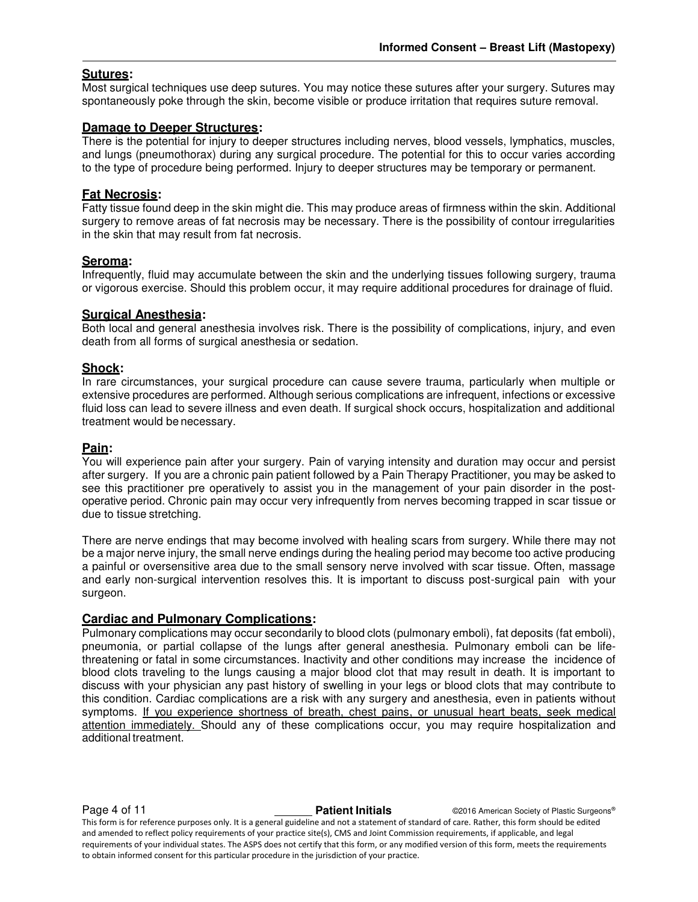#### **Sutures:**

Most surgical techniques use deep sutures. You may notice these sutures after your surgery. Sutures may spontaneously poke through the skin, become visible or produce irritation that requires suture removal.

#### **Damage to Deeper Structures:**

There is the potential for injury to deeper structures including nerves, blood vessels, lymphatics, muscles, and lungs (pneumothorax) during any surgical procedure. The potential for this to occur varies according to the type of procedure being performed. Injury to deeper structures may be temporary or permanent.

#### **Fat Necrosis:**

Fatty tissue found deep in the skin might die. This may produce areas of firmness within the skin. Additional surgery to remove areas of fat necrosis may be necessary. There is the possibility of contour irregularities in the skin that may result from fat necrosis.

#### **Seroma:**

Infrequently, fluid may accumulate between the skin and the underlying tissues following surgery, trauma or vigorous exercise. Should this problem occur, it may require additional procedures for drainage of fluid.

#### **Surgical Anesthesia:**

Both local and general anesthesia involves risk. There is the possibility of complications, injury, and even death from all forms of surgical anesthesia or sedation.

#### **Shock:**

In rare circumstances, your surgical procedure can cause severe trauma, particularly when multiple or extensive procedures are performed. Although serious complications are infrequent, infections or excessive fluid loss can lead to severe illness and even death. If surgical shock occurs, hospitalization and additional treatment would be necessary.

#### **Pain:**

You will experience pain after your surgery. Pain of varying intensity and duration may occur and persist after surgery. If you are a chronic pain patient followed by a Pain Therapy Practitioner, you may be asked to see this practitioner pre operatively to assist you in the management of your pain disorder in the postoperative period. Chronic pain may occur very infrequently from nerves becoming trapped in scar tissue or due to tissue stretching.

There are nerve endings that may become involved with healing scars from surgery. While there may not be a major nerve injury, the small nerve endings during the healing period may become too active producing a painful or oversensitive area due to the small sensory nerve involved with scar tissue. Often, massage and early non-surgical intervention resolves this. It is important to discuss post-surgical pain with your surgeon.

#### **Cardiac and Pulmonary Complications:**

Pulmonary complications may occur secondarily to blood clots (pulmonary emboli), fat deposits (fat emboli), pneumonia, or partial collapse of the lungs after general anesthesia. Pulmonary emboli can be lifethreatening or fatal in some circumstances. Inactivity and other conditions may increase the incidence of blood clots traveling to the lungs causing a major blood clot that may result in death. It is important to discuss with your physician any past history of swelling in your legs or blood clots that may contribute to this condition. Cardiac complications are a risk with any surgery and anesthesia, even in patients without symptoms. If you experience shortness of breath, chest pains, or unusual heart beats, seek medical attention immediately. Should any of these complications occur, you may require hospitalization and additional treatment.

**Page 4 of 11 Patient Initials COVID-2016** American Society of Plastic Surgeons® This form is for reference purposes only. It is a general guideline and not a statement of standard of care. Rather, this form should be edited and amended to reflect policy requirements of your practice site(s), CMS and Joint Commission requirements, if applicable, and legal requirements of your individual states. The ASPS does not certify that this form, or any modified version of this form, meets the requirements to obtain informed consent for this particular procedure in the jurisdiction of your practice.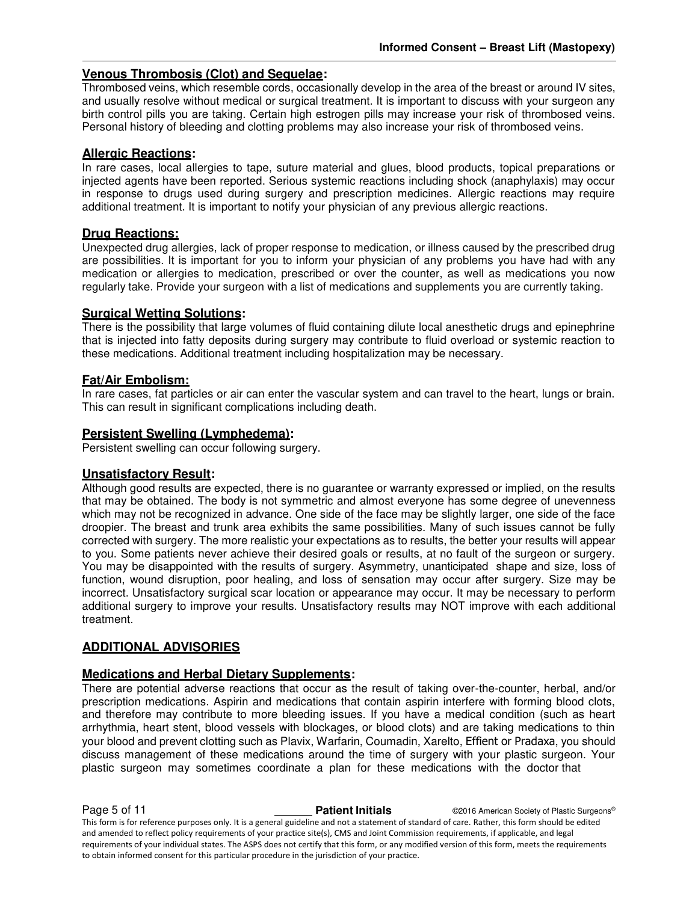#### **Venous Thrombosis (Clot) and Sequelae:**

Thrombosed veins, which resemble cords, occasionally develop in the area of the breast or around IV sites, and usually resolve without medical or surgical treatment. It is important to discuss with your surgeon any birth control pills you are taking. Certain high estrogen pills may increase your risk of thrombosed veins. Personal history of bleeding and clotting problems may also increase your risk of thrombosed veins.

#### **Allergic Reactions:**

In rare cases, local allergies to tape, suture material and glues, blood products, topical preparations or injected agents have been reported. Serious systemic reactions including shock (anaphylaxis) may occur in response to drugs used during surgery and prescription medicines. Allergic reactions may require additional treatment. It is important to notify your physician of any previous allergic reactions.

#### **Drug Reactions:**

Unexpected drug allergies, lack of proper response to medication, or illness caused by the prescribed drug are possibilities. It is important for you to inform your physician of any problems you have had with any medication or allergies to medication, prescribed or over the counter, as well as medications you now regularly take. Provide your surgeon with a list of medications and supplements you are currently taking.

#### **Surgical Wetting Solutions:**

There is the possibility that large volumes of fluid containing dilute local anesthetic drugs and epinephrine that is injected into fatty deposits during surgery may contribute to fluid overload or systemic reaction to these medications. Additional treatment including hospitalization may be necessary.

#### **Fat/Air Embolism:**

In rare cases, fat particles or air can enter the vascular system and can travel to the heart, lungs or brain. This can result in significant complications including death.

#### **Persistent Swelling (Lymphedema):**

Persistent swelling can occur following surgery.

#### **Unsatisfactory Result:**

Although good results are expected, there is no guarantee or warranty expressed or implied, on the results that may be obtained. The body is not symmetric and almost everyone has some degree of unevenness which may not be recognized in advance. One side of the face may be slightly larger, one side of the face droopier. The breast and trunk area exhibits the same possibilities. Many of such issues cannot be fully corrected with surgery. The more realistic your expectations as to results, the better your results will appear to you. Some patients never achieve their desired goals or results, at no fault of the surgeon or surgery. You may be disappointed with the results of surgery. Asymmetry, unanticipated shape and size, loss of function, wound disruption, poor healing, and loss of sensation may occur after surgery. Size may be incorrect. Unsatisfactory surgical scar location or appearance may occur. It may be necessary to perform additional surgery to improve your results. Unsatisfactory results may NOT improve with each additional treatment.

#### **ADDITIONAL ADVISORIES**

#### **Medications and Herbal Dietary Supplements:**

There are potential adverse reactions that occur as the result of taking over-the-counter, herbal, and/or prescription medications. Aspirin and medications that contain aspirin interfere with forming blood clots, and therefore may contribute to more bleeding issues. If you have a medical condition (such as heart arrhythmia, heart stent, blood vessels with blockages, or blood clots) and are taking medications to thin your blood and prevent clotting such as Plavix, Warfarin, Coumadin, Xarelto, Effient or Pradaxa, you should discuss management of these medications around the time of surgery with your plastic surgeon. Your plastic surgeon may sometimes coordinate a plan for these medications with the doctor that

**Page 5 of 11 Patient Initials CONFIDENT CONFIDENT CONFIDENT CONFIDENT** CONFIDENT CONFIDENT CONFIDENT CONFIDENT This form is for reference purposes only. It is a general guideline and not a statement of standard of care. Rather, this form should be edited and amended to reflect policy requirements of your practice site(s), CMS and Joint Commission requirements, if applicable, and legal requirements of your individual states. The ASPS does not certify that this form, or any modified version of this form, meets the requirements to obtain informed consent for this particular procedure in the jurisdiction of your practice.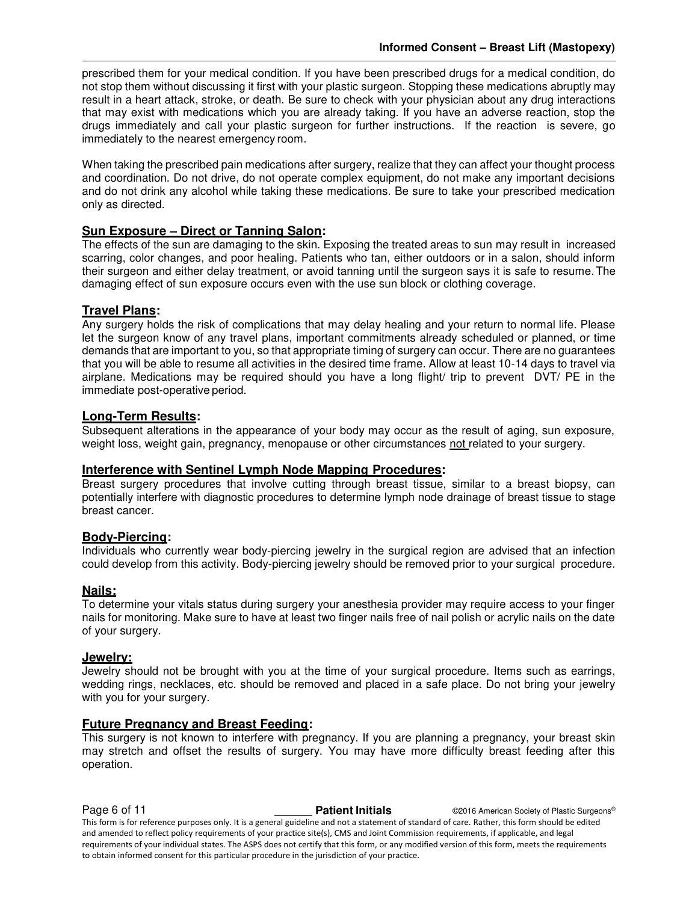prescribed them for your medical condition. If you have been prescribed drugs for a medical condition, do not stop them without discussing it first with your plastic surgeon. Stopping these medications abruptly may result in a heart attack, stroke, or death. Be sure to check with your physician about any drug interactions that may exist with medications which you are already taking. If you have an adverse reaction, stop the drugs immediately and call your plastic surgeon for further instructions. If the reaction is severe, go immediately to the nearest emergency room.

When taking the prescribed pain medications after surgery, realize that they can affect your thought process and coordination. Do not drive, do not operate complex equipment, do not make any important decisions and do not drink any alcohol while taking these medications. Be sure to take your prescribed medication only as directed.

#### **Sun Exposure – Direct or Tanning Salon:**

The effects of the sun are damaging to the skin. Exposing the treated areas to sun may result in increased scarring, color changes, and poor healing. Patients who tan, either outdoors or in a salon, should inform their surgeon and either delay treatment, or avoid tanning until the surgeon says it is safe to resume. The damaging effect of sun exposure occurs even with the use sun block or clothing coverage.

#### **Travel Plans:**

Any surgery holds the risk of complications that may delay healing and your return to normal life. Please let the surgeon know of any travel plans, important commitments already scheduled or planned, or time demands that are important to you, so that appropriate timing of surgery can occur. There are no guarantees that you will be able to resume all activities in the desired time frame. Allow at least 10-14 days to travel via airplane. Medications may be required should you have a long flight/ trip to prevent DVT/ PE in the immediate post-operative period.

#### **Long-Term Results:**

Subsequent alterations in the appearance of your body may occur as the result of aging, sun exposure, weight loss, weight gain, pregnancy, menopause or other circumstances not related to your surgery.

#### **Interference with Sentinel Lymph Node Mapping Procedures:**

Breast surgery procedures that involve cutting through breast tissue, similar to a breast biopsy, can potentially interfere with diagnostic procedures to determine lymph node drainage of breast tissue to stage breast cancer.

#### **Body-Piercing:**

Individuals who currently wear body-piercing jewelry in the surgical region are advised that an infection could develop from this activity. Body-piercing jewelry should be removed prior to your surgical procedure.

#### **Nails:**

To determine your vitals status during surgery your anesthesia provider may require access to your finger nails for monitoring. Make sure to have at least two finger nails free of nail polish or acrylic nails on the date of your surgery.

#### **Jewelry:**

Jewelry should not be brought with you at the time of your surgical procedure. Items such as earrings, wedding rings, necklaces, etc. should be removed and placed in a safe place. Do not bring your jewelry with you for your surgery.

#### **Future Pregnancy and Breast Feeding:**

This surgery is not known to interfere with pregnancy. If you are planning a pregnancy, your breast skin may stretch and offset the results of surgery. You may have more difficulty breast feeding after this operation.

**Page 6 of 11 Patient Initials Patient Initials** ©2016 American Society of Plastic Surgeons® This form is for reference purposes only. It is a general guideline and not a statement of standard of care. Rather, this form should be edited and amended to reflect policy requirements of your practice site(s), CMS and Joint Commission requirements, if applicable, and legal requirements of your individual states. The ASPS does not certify that this form, or any modified version of this form, meets the requirements to obtain informed consent for this particular procedure in the jurisdiction of your practice.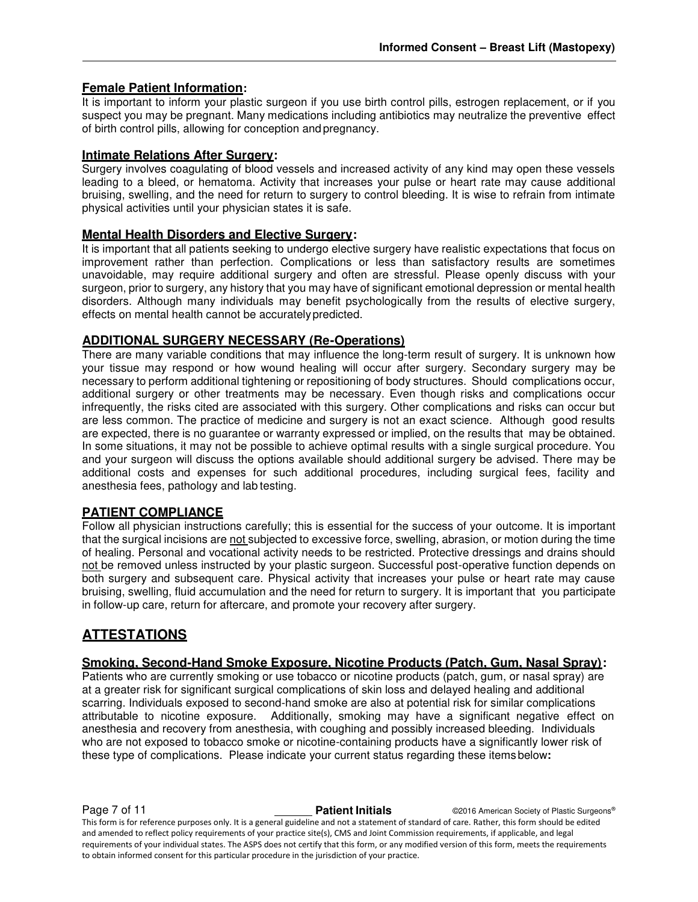#### **Female Patient Information:**

It is important to inform your plastic surgeon if you use birth control pills, estrogen replacement, or if you suspect you may be pregnant. Many medications including antibiotics may neutralize the preventive effect of birth control pills, allowing for conception and pregnancy.

#### **Intimate Relations After Surgery:**

Surgery involves coagulating of blood vessels and increased activity of any kind may open these vessels leading to a bleed, or hematoma. Activity that increases your pulse or heart rate may cause additional bruising, swelling, and the need for return to surgery to control bleeding. It is wise to refrain from intimate physical activities until your physician states it is safe.

#### **Mental Health Disorders and Elective Surgery:**

It is important that all patients seeking to undergo elective surgery have realistic expectations that focus on improvement rather than perfection. Complications or less than satisfactory results are sometimes unavoidable, may require additional surgery and often are stressful. Please openly discuss with your surgeon, prior to surgery, any history that you may have of significant emotional depression or mental health disorders. Although many individuals may benefit psychologically from the results of elective surgery, effects on mental health cannot be accurately predicted.

#### **ADDITIONAL SURGERY NECESSARY (Re-Operations)**

There are many variable conditions that may influence the long-term result of surgery. It is unknown how your tissue may respond or how wound healing will occur after surgery. Secondary surgery may be necessary to perform additional tightening or repositioning of body structures. Should complications occur, additional surgery or other treatments may be necessary. Even though risks and complications occur infrequently, the risks cited are associated with this surgery. Other complications and risks can occur but are less common. The practice of medicine and surgery is not an exact science. Although good results are expected, there is no guarantee or warranty expressed or implied, on the results that may be obtained. In some situations, it may not be possible to achieve optimal results with a single surgical procedure. You and your surgeon will discuss the options available should additional surgery be advised. There may be additional costs and expenses for such additional procedures, including surgical fees, facility and anesthesia fees, pathology and lab testing.

#### **PATIENT COMPLIANCE**

Follow all physician instructions carefully; this is essential for the success of your outcome. It is important that the surgical incisions are not subjected to excessive force, swelling, abrasion, or motion during the time of healing. Personal and vocational activity needs to be restricted. Protective dressings and drains should not be removed unless instructed by your plastic surgeon. Successful post-operative function depends on both surgery and subsequent care. Physical activity that increases your pulse or heart rate may cause bruising, swelling, fluid accumulation and the need for return to surgery. It is important that you participate in follow-up care, return for aftercare, and promote your recovery after surgery.

### **ATTESTATIONS**

#### **Smoking, Second-Hand Smoke Exposure, Nicotine Products (Patch, Gum, Nasal Spray):**

Patients who are currently smoking or use tobacco or nicotine products (patch, gum, or nasal spray) are at a greater risk for significant surgical complications of skin loss and delayed healing and additional scarring. Individuals exposed to second-hand smoke are also at potential risk for similar complications attributable to nicotine exposure. Additionally, smoking may have a significant negative effect on anesthesia and recovery from anesthesia, with coughing and possibly increased bleeding. Individuals who are not exposed to tobacco smoke or nicotine-containing products have a significantly lower risk of these type of complications. Please indicate your current status regarding these items below**:** 

**Page 7 of 11 Patient Initials Patient Initials C2016 American Society of Plastic Surgeons®** This form is for reference purposes only. It is a general guideline and not a statement of standard of care. Rather, this form should be edited and amended to reflect policy requirements of your practice site(s), CMS and Joint Commission requirements, if applicable, and legal requirements of your individual states. The ASPS does not certify that this form, or any modified version of this form, meets the requirements to obtain informed consent for this particular procedure in the jurisdiction of your practice.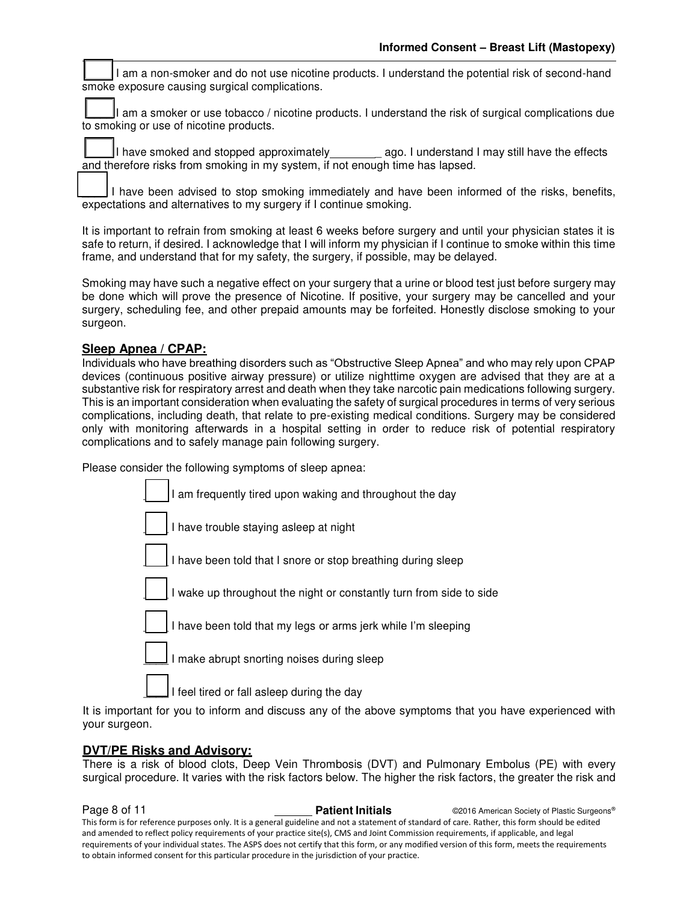I am a non-smoker and do not use nicotine products. I understand the potential risk of second-hand smoke exposure causing surgical complications.

am a smoker or use tobacco / nicotine products. I understand the risk of surgical complications due to smoking or use of nicotine products.

I have smoked and stopped approximately eqg. I understand I may still have the effects and therefore risks from smoking in my system, if not enough time has lapsed.

I have been advised to stop smoking immediately and have been informed of the risks, benefits, expectations and alternatives to my surgery if I continue smoking.

It is important to refrain from smoking at least 6 weeks before surgery and until your physician states it is safe to return, if desired. I acknowledge that I will inform my physician if I continue to smoke within this time frame, and understand that for my safety, the surgery, if possible, may be delayed.

Smoking may have such a negative effect on your surgery that a urine or blood test just before surgery may be done which will prove the presence of Nicotine. If positive, your surgery may be cancelled and your surgery, scheduling fee, and other prepaid amounts may be forfeited. Honestly disclose smoking to your surgeon.

#### **Sleep Apnea / CPAP:**

Individuals who have breathing disorders such as "Obstructive Sleep Apnea" and who may rely upon CPAP devices (continuous positive airway pressure) or utilize nighttime oxygen are advised that they are at a substantive risk for respiratory arrest and death when they take narcotic pain medications following surgery. This is an important consideration when evaluating the safety of surgical procedures in terms of very serious complications, including death, that relate to pre-existing medical conditions. Surgery may be considered only with monitoring afterwards in a hospital setting in order to reduce risk of potential respiratory complications and to safely manage pain following surgery.

Please consider the following symptoms of sleep apnea:



It is important for you to inform and discuss any of the above symptoms that you have experienced with your surgeon.

#### **DVT/PE Risks and Advisory:**

There is a risk of blood clots, Deep Vein Thrombosis (DVT) and Pulmonary Embolus (PE) with every surgical procedure. It varies with the risk factors below. The higher the risk factors, the greater the risk and

**Page 8 of 11 Patient Initials COVID-2016** American Society of Plastic Surgeons® This form is for reference purposes only. It is a general guideline and not a statement of standard of care. Rather, this form should be edited and amended to reflect policy requirements of your practice site(s), CMS and Joint Commission requirements, if applicable, and legal requirements of your individual states. The ASPS does not certify that this form, or any modified version of this form, meets the requirements to obtain informed consent for this particular procedure in the jurisdiction of your practice.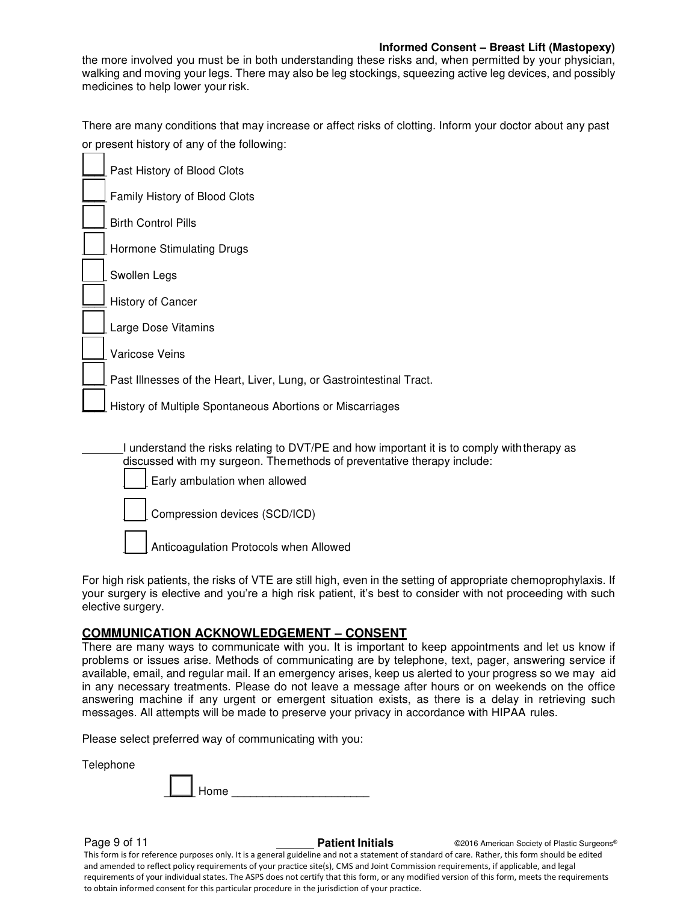#### **Informed Consent – Breast Lift (Mastopexy)**

the more involved you must be in both understanding these risks and, when permitted by your physician, walking and moving your legs. There may also be leg stockings, squeezing active leg devices, and possibly medicines to help lower your risk.

There are many conditions that may increase or affect risks of clotting. Inform your doctor about any past or present history of any of the following:

| Past History of Blood Clots                                          |
|----------------------------------------------------------------------|
| Family History of Blood Clots                                        |
| <b>Birth Control Pills</b>                                           |
| Hormone Stimulating Drugs                                            |
| Swollen Legs                                                         |
| <b>History of Cancer</b>                                             |
| Large Dose Vitamins                                                  |
| Varicose Veins                                                       |
| Past Illnesses of the Heart, Liver, Lung, or Gastrointestinal Tract. |
| History of Multiple Spontaneous Abortions or Miscarriages            |
|                                                                      |

I understand the risks relating to DVT/PE and how important it is to comply with therapy as discussed with my surgeon. The methods of preventative therapy include: Early ambulation when allowed Compression devices (SCD/ICD) Anticoagulation Protocols when Allowed

For high risk patients, the risks of VTE are still high, even in the setting of appropriate chemoprophylaxis. If your surgery is elective and you're a high risk patient, it's best to consider with not proceeding with such elective surgery.

#### **COMMUNICATION ACKNOWLEDGEMENT – CONSENT**

There are many ways to communicate with you. It is important to keep appointments and let us know if problems or issues arise. Methods of communicating are by telephone, text, pager, answering service if available, email, and regular mail. If an emergency arises, keep us alerted to your progress so we may aid in any necessary treatments. Please do not leave a message after hours or on weekends on the office answering machine if any urgent or emergent situation exists, as there is a delay in retrieving such messages. All attempts will be made to preserve your privacy in accordance with HIPAA rules.

Please select preferred way of communicating with you:

Telephone

**Page 9 of 11 Patient Initials Patient Initials CALC AMERICA CONSTRANS CONSTRANS Plastic Surgeons®** 

This form is for reference purposes only. It is a general guideline and not a statement of standard of care. Rather, this form should be edited and amended to reflect policy requirements of your practice site(s), CMS and Joint Commission requirements, if applicable, and legal requirements of your individual states. The ASPS does not certify that this form, or any modified version of this form, meets the requirements to obtain informed consent for this particular procedure in the jurisdiction of your practice.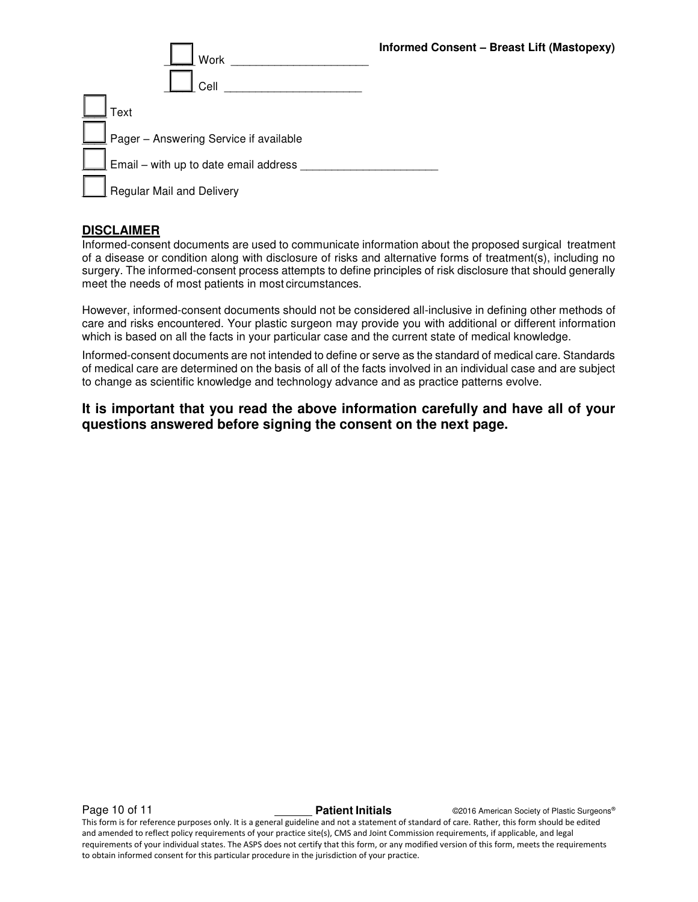|  |  |  |  |  | Informed Consent - Breast Lift (Mastopexy) |
|--|--|--|--|--|--------------------------------------------|
|--|--|--|--|--|--------------------------------------------|

| Work                                                                                                          | Informed Co |
|---------------------------------------------------------------------------------------------------------------|-------------|
| Cell                                                                                                          |             |
| Text                                                                                                          |             |
| $\Box$ Pager – Answering Service if available                                                                 |             |
| $\overline{\underline{\mathsf{I}}}$ Email – with up to date email address $\overline{\underline{\mathsf{I}}}$ |             |
| Regular Mail and Delivery                                                                                     |             |

#### **DISCLAIMER**

Informed-consent documents are used to communicate information about the proposed surgical treatment of a disease or condition along with disclosure of risks and alternative forms of treatment(s), including no surgery. The informed-consent process attempts to define principles of risk disclosure that should generally meet the needs of most patients in most circumstances.

However, informed-consent documents should not be considered all-inclusive in defining other methods of care and risks encountered. Your plastic surgeon may provide you with additional or different information which is based on all the facts in your particular case and the current state of medical knowledge.

Informed-consent documents are not intended to define or serve as the standard of medical care. Standards of medical care are determined on the basis of all of the facts involved in an individual case and are subject to change as scientific knowledge and technology advance and as practice patterns evolve.

**It is important that you read the above information carefully and have all of your questions answered before signing the consent on the next page.** 

**Page 10 of 11 Patient Initials Patient Initials** ©2016 American Society of Plastic Surgeons®

This form is for reference purposes only. It is a general guideline and not a statement of standard of care. Rather, this form should be edited and amended to reflect policy requirements of your practice site(s), CMS and Joint Commission requirements, if applicable, and legal requirements of your individual states. The ASPS does not certify that this form, or any modified version of this form, meets the requirements to obtain informed consent for this particular procedure in the jurisdiction of your practice.